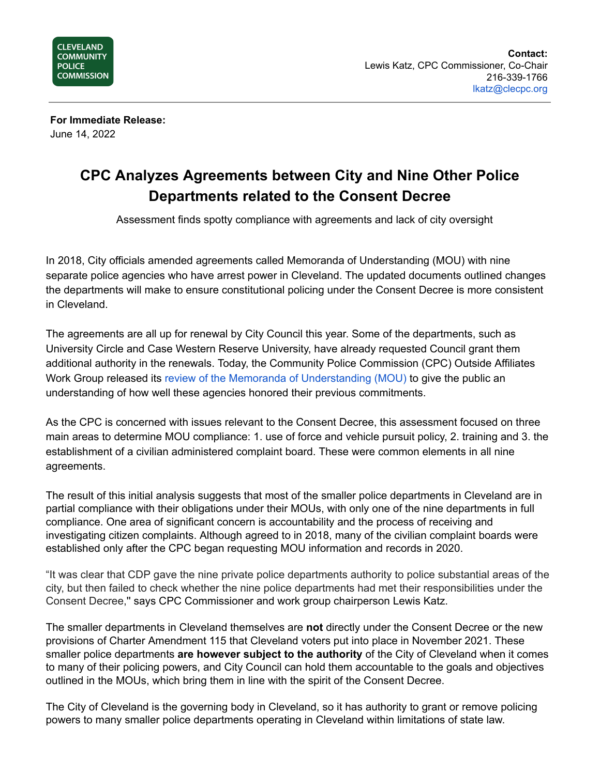

**For Immediate Release:** June 14, 2022

## **CPC Analyzes Agreements between City and Nine Other Police Departments related to the Consent Decree**

Assessment finds spotty compliance with agreements and lack of city oversight

In 2018, City officials amended agreements called Memoranda of Understanding (MOU) with nine separate police agencies who have arrest power in Cleveland. The updated documents outlined changes the departments will make to ensure constitutional policing under the Consent Decree is more consistent in Cleveland.

The agreements are all up for renewal by City Council this year. Some of the departments, such as University Circle and Case Western Reserve University, have already requested Council grant them additional authority in the renewals. Today, the Community Police Commission (CPC) Outside Affiliates Work Group released its review of the Memoranda of [Understanding](https://clecpc.org/wp-content/uploads/CPC-Report-Compliance-Assessment-of-Other-Police-Departments-in-Cleveland-June-2022.pdf) (MOU) to give the public an understanding of how well these agencies honored their previous commitments.

As the CPC is concerned with issues relevant to the Consent Decree, this assessment focused on three main areas to determine MOU compliance: 1. use of force and vehicle pursuit policy, 2. training and 3. the establishment of a civilian administered complaint board. These were common elements in all nine agreements.

The result of this initial analysis suggests that most of the smaller police departments in Cleveland are in partial compliance with their obligations under their MOUs, with only one of the nine departments in full compliance. One area of significant concern is accountability and the process of receiving and investigating citizen complaints. Although agreed to in 2018, many of the civilian complaint boards were established only after the CPC began requesting MOU information and records in 2020.

"It was clear that CDP gave the nine private police departments authority to police substantial areas of the city, but then failed to check whether the nine police departments had met their responsibilities under the Consent Decree,'' says CPC Commissioner and work group chairperson Lewis Katz.

The smaller departments in Cleveland themselves are **not** directly under the Consent Decree or the new provisions of Charter Amendment 115 that Cleveland voters put into place in November 2021. These smaller police departments **are however subject to the authority** of the City of Cleveland when it comes to many of their policing powers, and City Council can hold them accountable to the goals and objectives outlined in the MOUs, which bring them in line with the spirit of the Consent Decree.

The City of Cleveland is the governing body in Cleveland, so it has authority to grant or remove policing powers to many smaller police departments operating in Cleveland within limitations of state law.